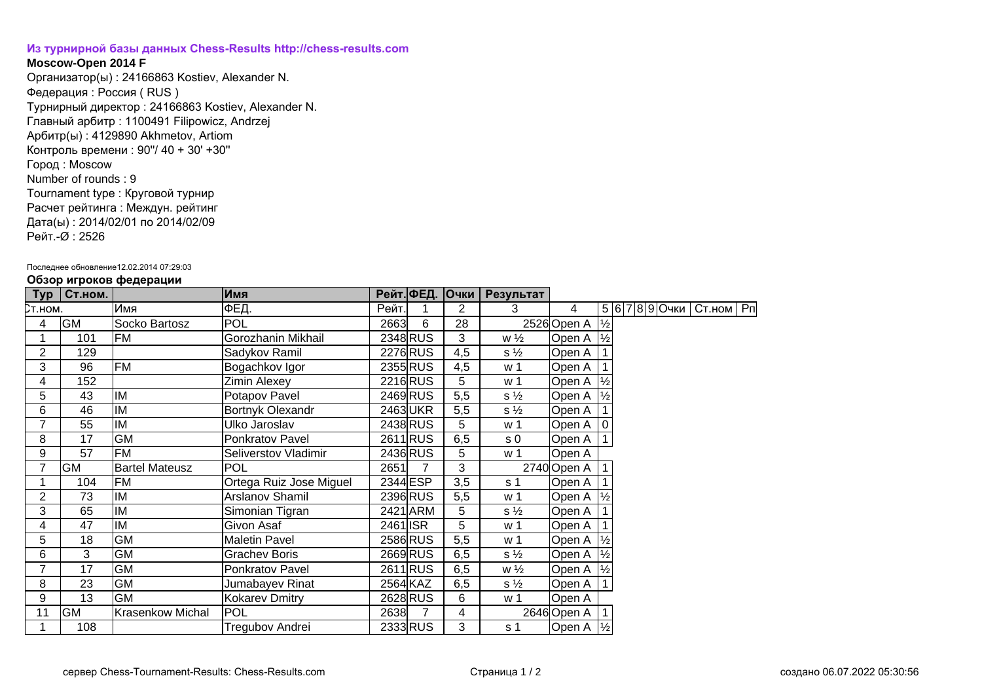## **[Из турнирной базы данных Chess-Results http://chess-results.com](http://chess-results.com/)**

## **Moscow-Open 2014 F**

Организатор(ы) : 24166863 Kostiev, Alexander N. Федерация : Россия ( RUS ) Турнирный директор : 24166863 Kostiev, Alexander N. Главный арбитр : 1100491 Filipowicz, Andrzej Арбитр(ы) : 4129890 Akhmetov, Artiom Контроль времени : 90''/ 40 + 30' +30'' Город : Moscow Number of rounds : 9 Tournament type : Круговой турнир Расчет рейтинга : Междун. рейтинг Дата(ы) : 2014/02/01 по 2014/02/09 Рейт.-Ø : 2526

## Последнее обновление12.02.2014 07:29:03

|  |  | Обзор игроков федерации |
|--|--|-------------------------|
|--|--|-------------------------|

|                |           | .                     |                         |          |            |              |                |                        |  |                              |  |
|----------------|-----------|-----------------------|-------------------------|----------|------------|--------------|----------------|------------------------|--|------------------------------|--|
| Тур            | Ст.ном.   |                       | Имя                     |          | Рейт. ФЕД. | $ O$ чки $ $ | Результат      |                        |  |                              |  |
| Ст.ном.        |           | Имя                   | ∣ФЕД.                   | Рейт.    |            | 2            | 3              | 4                      |  | 5 6 7 8 9 Очки   Ст.ном   Рп |  |
| 4              | <b>GM</b> | Socko Bartosz         | <b>POL</b>              | 2663     | 6          | 28           |                | 2526 Open A   1/2      |  |                              |  |
|                | 101       | <b>FM</b>             | Gorozhanin Mikhail      |          | 2348 RUS   | 3            | $w\frac{1}{2}$ | Open A                 |  |                              |  |
| 2              | 129       |                       | Sadykov Ramil           |          | 2276 RUS   | 4,5          | $s\frac{1}{2}$ | Open A                 |  |                              |  |
| 3              | 96        | <b>FM</b>             | Bogachkov Igor          |          | 2355 RUS   | 4,5          | w 1            | Open A                 |  |                              |  |
| 4              | 152       |                       | <b>Zimin Alexey</b>     |          | 2216 RUS   | 5            | w 1            | Open A                 |  |                              |  |
| 5              | 43        | IM                    | Potapov Pavel           |          | 2469RUS    | 5,5          | $s\frac{1}{2}$ | Open A                 |  |                              |  |
| 6              | 46        | IM                    | Bortnyk Olexandr        |          | 2463UKR    | 5,5          | $s\frac{1}{2}$ | Open A                 |  |                              |  |
| $\overline{7}$ | 55        | IM                    | Ulko Jaroslav           |          | 2438 RUS   | 5            | w 1            | Open A                 |  |                              |  |
| 8              | 17        | <b>GM</b>             | Ponkratov Pavel         |          | 2611 RUS   | 6,5          | s <sub>0</sub> | Open A                 |  |                              |  |
| 9              | 57        | <b>FM</b>             | Seliverstov Vladimir    |          | 2436 RUS   | 5            | w 1            | Open A                 |  |                              |  |
| 7              | <b>GM</b> | <b>Bartel Mateusz</b> | POL                     | 2651     |            | 3            |                | 2740 Open A            |  |                              |  |
| 1              | 104       | FM                    | Ortega Ruiz Jose Miguel |          | 2344 ESP   | 3,5          | s 1            | Open A                 |  |                              |  |
| 2              | 73        | IM                    | Arslanov Shamil         |          | 2396 RUS   | 5,5          | w 1            | Open A                 |  |                              |  |
| 3              | 65        | IM                    | Simonian Tigran         |          | 2421 ARM   | 5            | $s\frac{1}{2}$ | Open A                 |  |                              |  |
| 4              | 47        | IM                    | Givon Asaf              | 2461 ISR |            | 5            | w 1            | Open A                 |  |                              |  |
| 5              | 18        | <b>GM</b>             | <b>Maletin Pavel</b>    |          | 2586 RUS   | 5,5          | w 1            | Open A                 |  |                              |  |
| 6              | 3         | <b>GM</b>             | <b>Grachev Boris</b>    |          | 2669RUS    | 6,5          | $s\frac{1}{2}$ | Open A                 |  |                              |  |
| 7              | 17        | <b>GM</b>             | Ponkratov Pavel         |          | 2611 RUS   | 6,5          | $w\frac{1}{2}$ | Open A                 |  |                              |  |
| 8              | 23        | <b>GM</b>             | Jumabayev Rinat         |          | 2564 KAZ   | 6,5          | $s\frac{1}{2}$ | Open A                 |  |                              |  |
| 9              | 13        | <b>GM</b>             | Kokarev Dmitry          |          | 2628 RUS   | 6            | w <sub>1</sub> | Open A                 |  |                              |  |
| 11             | <b>GM</b> | Krasenkow Michal      | <b>POL</b>              | 2638     |            | 4            |                | 2646 Open A            |  |                              |  |
| 1              | 108       |                       | Tregubov Andrei         |          | 2333RUS    | 3            | s <sub>1</sub> | Open A $ \frac{1}{2} $ |  |                              |  |